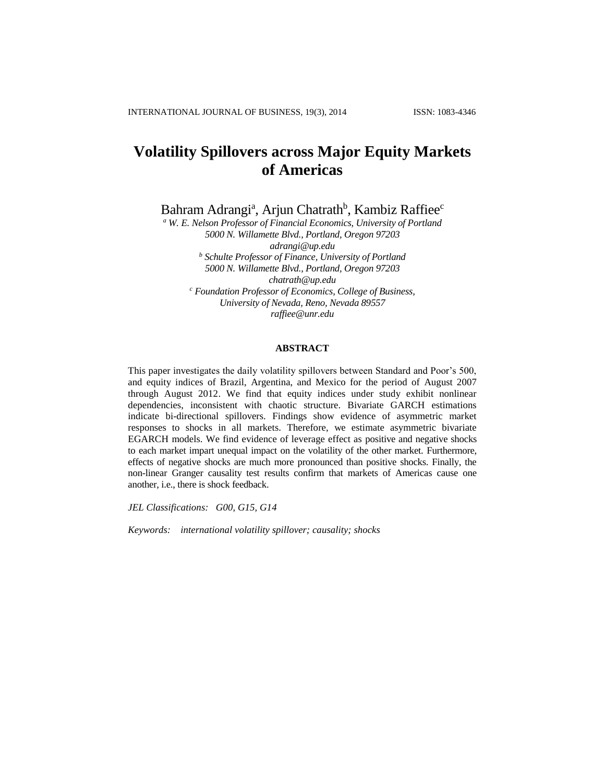# **Volatility Spillovers across Major Equity Markets of Americas**

Bahram Adrangi<sup>a</sup>, Arjun Chatrath<sup>b</sup>, Kambiz Raffiee<sup>c</sup>

*<sup>a</sup> W. E. Nelson Professor of Financial Economics, University of Portland 5000 N. Willamette Blvd., Portland, Oregon 97203 adrangi@up.edu <sup>b</sup> Schulte Professor of Finance, University of Portland 5000 N. Willamette Blvd., Portland, Oregon 97203 chatrath@up.edu <sup>c</sup> Foundation Professor of Economics, College of Business, University of Nevada, Reno, Nevada 89557 raffiee@unr.edu*

# **ABSTRACT**

This paper investigates the daily volatility spillovers between Standard and Poor's 500, and equity indices of Brazil, Argentina, and Mexico for the period of August 2007 through August 2012. We find that equity indices under study exhibit nonlinear dependencies, inconsistent with chaotic structure. Bivariate GARCH estimations indicate bi-directional spillovers. Findings show evidence of asymmetric market responses to shocks in all markets. Therefore, we estimate asymmetric bivariate EGARCH models. We find evidence of leverage effect as positive and negative shocks to each market impart unequal impact on the volatility of the other market. Furthermore, effects of negative shocks are much more pronounced than positive shocks. Finally, the non-linear Granger causality test results confirm that markets of Americas cause one another, i.e., there is shock feedback.

*JEL Classifications: G00, G15, G14*

*Keywords: international volatility spillover; causality; shocks*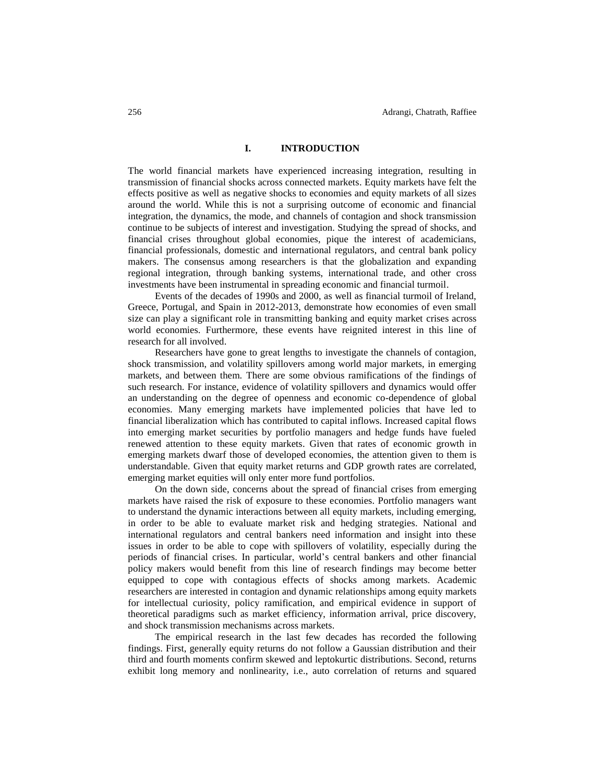# **I. INTRODUCTION**

The world financial markets have experienced increasing integration, resulting in transmission of financial shocks across connected markets. Equity markets have felt the effects positive as well as negative shocks to economies and equity markets of all sizes around the world. While this is not a surprising outcome of economic and financial integration, the dynamics, the mode, and channels of contagion and shock transmission continue to be subjects of interest and investigation. Studying the spread of shocks, and financial crises throughout global economies, pique the interest of academicians, financial professionals, domestic and international regulators, and central bank policy makers. The consensus among researchers is that the globalization and expanding regional integration, through banking systems, international trade, and other cross investments have been instrumental in spreading economic and financial turmoil.

Events of the decades of 1990s and 2000, as well as financial turmoil of Ireland, Greece, Portugal, and Spain in 2012-2013, demonstrate how economies of even small size can play a significant role in transmitting banking and equity market crises across world economies. Furthermore, these events have reignited interest in this line of research for all involved.

Researchers have gone to great lengths to investigate the channels of contagion, shock transmission, and volatility spillovers among world major markets, in emerging markets, and between them. There are some obvious ramifications of the findings of such research. For instance, evidence of volatility spillovers and dynamics would offer an understanding on the degree of openness and economic co-dependence of global economies. Many emerging markets have implemented policies that have led to financial liberalization which has contributed to capital inflows. Increased capital flows into emerging market securities by portfolio managers and hedge funds have fueled renewed attention to these equity markets. Given that rates of economic growth in emerging markets dwarf those of developed economies, the attention given to them is understandable. Given that equity market returns and GDP growth rates are correlated, emerging market equities will only enter more fund portfolios.

On the down side, concerns about the spread of financial crises from emerging markets have raised the risk of exposure to these economies. Portfolio managers want to understand the dynamic interactions between all equity markets, including emerging, in order to be able to evaluate market risk and hedging strategies. National and international regulators and central bankers need information and insight into these issues in order to be able to cope with spillovers of volatility, especially during the periods of financial crises. In particular, world's central bankers and other financial policy makers would benefit from this line of research findings may become better equipped to cope with contagious effects of shocks among markets. Academic researchers are interested in contagion and dynamic relationships among equity markets for intellectual curiosity, policy ramification, and empirical evidence in support of theoretical paradigms such as market efficiency, information arrival, price discovery, and shock transmission mechanisms across markets.

The empirical research in the last few decades has recorded the following findings. First, generally equity returns do not follow a Gaussian distribution and their third and fourth moments confirm skewed and leptokurtic distributions. Second, returns exhibit long memory and nonlinearity, i.e., auto correlation of returns and squared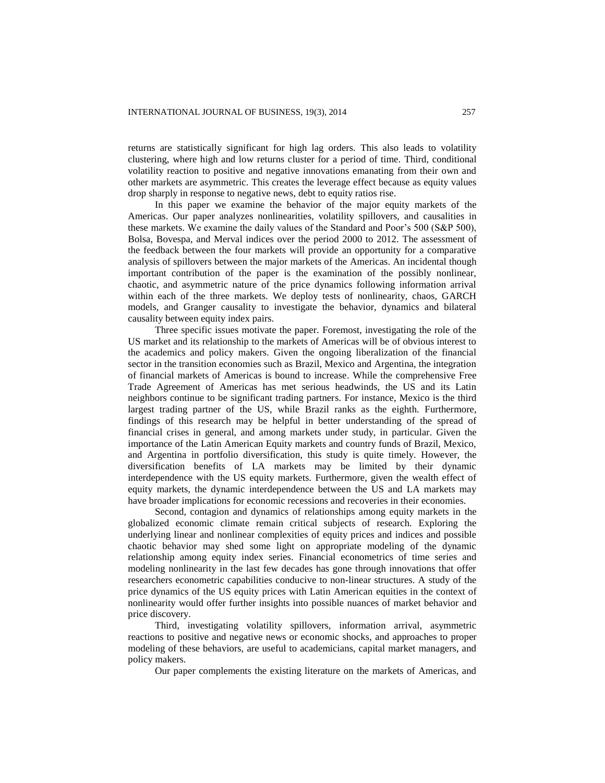returns are statistically significant for high lag orders. This also leads to volatility clustering, where high and low returns cluster for a period of time. Third, conditional volatility reaction to positive and negative innovations emanating from their own and other markets are asymmetric. This creates the leverage effect because as equity values drop sharply in response to negative news, debt to equity ratios rise.

In this paper we examine the behavior of the major equity markets of the Americas. Our paper analyzes nonlinearities, volatility spillovers, and causalities in these markets. We examine the daily values of the Standard and Poor's 500 (S&P 500), Bolsa, Bovespa, and Merval indices over the period 2000 to 2012. The assessment of the feedback between the four markets will provide an opportunity for a comparative analysis of spillovers between the major markets of the Americas. An incidental though important contribution of the paper is the examination of the possibly nonlinear, chaotic, and asymmetric nature of the price dynamics following information arrival within each of the three markets. We deploy tests of nonlinearity, chaos, GARCH models, and Granger causality to investigate the behavior, dynamics and bilateral causality between equity index pairs.

Three specific issues motivate the paper. Foremost, investigating the role of the US market and its relationship to the markets of Americas will be of obvious interest to the academics and policy makers. Given the ongoing liberalization of the financial sector in the transition economies such as Brazil, Mexico and Argentina, the integration of financial markets of Americas is bound to increase. While the comprehensive Free Trade Agreement of Americas has met serious headwinds, the US and its Latin neighbors continue to be significant trading partners. For instance, Mexico is the third largest trading partner of the US, while Brazil ranks as the eighth. Furthermore, findings of this research may be helpful in better understanding of the spread of financial crises in general, and among markets under study, in particular. Given the importance of the Latin American Equity markets and country funds of Brazil, Mexico, and Argentina in portfolio diversification, this study is quite timely. However, the diversification benefits of LA markets may be limited by their dynamic interdependence with the US equity markets. Furthermore, given the wealth effect of equity markets, the dynamic interdependence between the US and LA markets may have broader implications for economic recessions and recoveries in their economies.

Second, contagion and dynamics of relationships among equity markets in the globalized economic climate remain critical subjects of research. Exploring the underlying linear and nonlinear complexities of equity prices and indices and possible chaotic behavior may shed some light on appropriate modeling of the dynamic relationship among equity index series. Financial econometrics of time series and modeling nonlinearity in the last few decades has gone through innovations that offer researchers econometric capabilities conducive to non-linear structures. A study of the price dynamics of the US equity prices with Latin American equities in the context of nonlinearity would offer further insights into possible nuances of market behavior and price discovery.

Third, investigating volatility spillovers, information arrival, asymmetric reactions to positive and negative news or economic shocks, and approaches to proper modeling of these behaviors, are useful to academicians, capital market managers, and policy makers.

Our paper complements the existing literature on the markets of Americas, and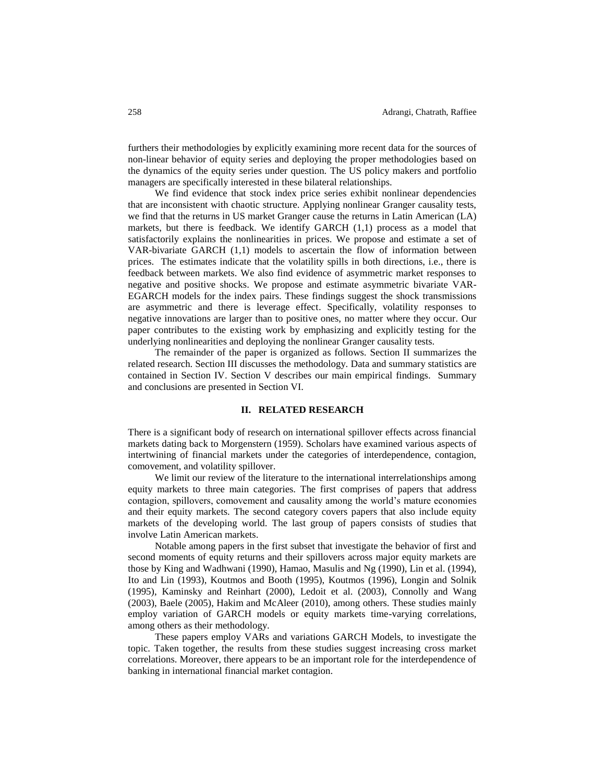furthers their methodologies by explicitly examining more recent data for the sources of non-linear behavior of equity series and deploying the proper methodologies based on the dynamics of the equity series under question. The US policy makers and portfolio managers are specifically interested in these bilateral relationships.

We find evidence that stock index price series exhibit nonlinear dependencies that are inconsistent with chaotic structure. Applying nonlinear Granger causality tests, we find that the returns in US market Granger cause the returns in Latin American (LA) markets, but there is feedback. We identify GARCH (1,1) process as a model that satisfactorily explains the nonlinearities in prices. We propose and estimate a set of VAR-bivariate GARCH (1,1) models to ascertain the flow of information between prices. The estimates indicate that the volatility spills in both directions, i.e., there is feedback between markets. We also find evidence of asymmetric market responses to negative and positive shocks. We propose and estimate asymmetric bivariate VAR-EGARCH models for the index pairs. These findings suggest the shock transmissions are asymmetric and there is leverage effect. Specifically, volatility responses to negative innovations are larger than to positive ones, no matter where they occur. Our paper contributes to the existing work by emphasizing and explicitly testing for the underlying nonlinearities and deploying the nonlinear Granger causality tests.

The remainder of the paper is organized as follows. Section II summarizes the related research. Section III discusses the methodology. Data and summary statistics are contained in Section IV. Section V describes our main empirical findings. Summary and conclusions are presented in Section VI.

#### **II. RELATED RESEARCH**

There is a significant body of research on international spillover effects across financial markets dating back to Morgenstern (1959). Scholars have examined various aspects of intertwining of financial markets under the categories of interdependence, contagion, comovement, and volatility spillover.

We limit our review of the literature to the international interrelationships among equity markets to three main categories. The first comprises of papers that address contagion, spillovers, comovement and causality among the world's mature economies and their equity markets. The second category covers papers that also include equity markets of the developing world. The last group of papers consists of studies that involve Latin American markets.

Notable among papers in the first subset that investigate the behavior of first and second moments of equity returns and their spillovers across major equity markets are those by King and Wadhwani (1990), Hamao, Masulis and Ng (1990), Lin et al. (1994), Ito and Lin (1993), Koutmos and Booth (1995), Koutmos (1996), Longin and Solnik (1995), Kaminsky and Reinhart (2000), Ledoit et al. (2003), Connolly and Wang (2003), Baele (2005), Hakim and McAleer (2010), among others. These studies mainly employ variation of GARCH models or equity markets time-varying correlations, among others as their methodology.

These papers employ VARs and variations GARCH Models, to investigate the topic. Taken together, the results from these studies suggest increasing cross market correlations. Moreover, there appears to be an important role for the interdependence of banking in international financial market contagion.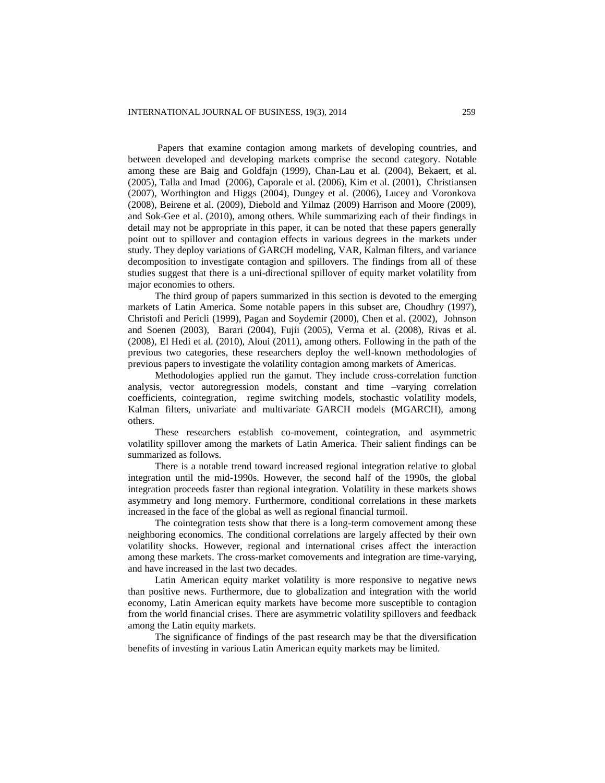Papers that examine contagion among markets of developing countries, and between developed and developing markets comprise the second category. Notable among these are Baig and Goldfajn (1999), Chan-Lau et al. (2004), Bekaert, et al. (2005), Talla and Imad (2006), Caporale et al. (2006), Kim et al. (2001), Christiansen (2007), Worthington and Higgs (2004), Dungey et al. (2006), Lucey and Voronkova (2008), Beirene et al. (2009), Diebold and Yilmaz (2009) Harrison and Moore (2009), and Sok-Gee et al. (2010), among others. While summarizing each of their findings in detail may not be appropriate in this paper, it can be noted that these papers generally point out to spillover and contagion effects in various degrees in the markets under study. They deploy variations of GARCH modeling, VAR, Kalman filters, and variance decomposition to investigate contagion and spillovers. The findings from all of these studies suggest that there is a uni-directional spillover of equity market volatility from major economies to others.

The third group of papers summarized in this section is devoted to the emerging markets of Latin America. Some notable papers in this subset are, Choudhry (1997), Christofi and Pericli (1999), Pagan and Soydemir (2000), Chen et al. (2002), Johnson and Soenen (2003), Barari (2004), Fujii (2005), Verma et al. (2008), Rivas et al. (2008), El Hedi et al. (2010), Aloui (2011), among others. Following in the path of the previous two categories, these researchers deploy the well-known methodologies of previous papers to investigate the volatility contagion among markets of Americas.

Methodologies applied run the gamut. They include cross-correlation function analysis, vector autoregression models, constant and time –varying correlation coefficients, cointegration, regime switching models, stochastic volatility models, Kalman filters, univariate and multivariate GARCH models (MGARCH), among others.

These researchers establish co-movement, cointegration, and asymmetric volatility spillover among the markets of Latin America. Their salient findings can be summarized as follows.

There is a notable trend toward increased regional integration relative to global integration until the mid-1990s. However, the second half of the 1990s, the global integration proceeds faster than regional integration. Volatility in these markets shows asymmetry and long memory. Furthermore, conditional correlations in these markets increased in the face of the global as well as regional financial turmoil.

The cointegration tests show that there is a long-term comovement among these neighboring economics. The conditional correlations are largely affected by their own volatility shocks. However, regional and international crises affect the interaction among these markets. The cross-market comovements and integration are time-varying, and have increased in the last two decades.

Latin American equity market volatility is more responsive to negative news than positive news. Furthermore, due to globalization and integration with the world economy, Latin American equity markets have become more susceptible to contagion from the world financial crises. There are asymmetric volatility spillovers and feedback among the Latin equity markets.

The significance of findings of the past research may be that the diversification benefits of investing in various Latin American equity markets may be limited.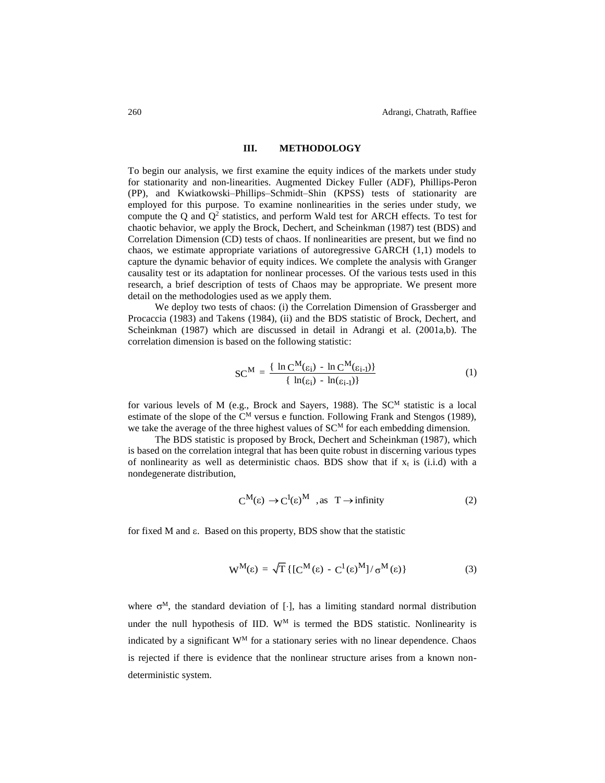## **III. METHODOLOGY**

To begin our analysis, we first examine the equity indices of the markets under study for stationarity and non-linearities. Augmented Dickey Fuller (ADF), Phillips-Peron (PP), and Kwiatkowski–Phillips–Schmidt–Shin (KPSS) tests of stationarity are employed for this purpose. To examine nonlinearities in the series under study, we compute the  $Q$  and  $Q^2$  statistics, and perform Wald test for ARCH effects. To test for chaotic behavior, we apply the Brock, Dechert, and Scheinkman (1987) test (BDS) and Correlation Dimension (CD) tests of chaos. If nonlinearities are present, but we find no chaos, we estimate appropriate variations of autoregressive GARCH (1,1) models to capture the dynamic behavior of equity indices. We complete the analysis with Granger causality test or its adaptation for nonlinear processes. Of the various tests used in this research, a brief description of tests of Chaos may be appropriate. We present more detail on the methodologies used as we apply them.

We deploy two tests of chaos: (i) the Correlation Dimension of Grassberger and Procaccia (1983) and Takens (1984), (ii) and the BDS statistic of Brock, Dechert, and Scheinkman (1987) which are discussed in detail in Adrangi et al. (2001a,b). The correlation dimension is based on the following statistic:

$$
SC^{M} = \frac{\{ \ln C^{M}(\varepsilon_{i}) - \ln C^{M}(\varepsilon_{i-1}) \}}{\{ \ln(\varepsilon_{i}) - \ln(\varepsilon_{i-1}) \}}
$$
(1)

for various levels of M (e.g., Brock and Sayers, 1988). The  $SC^{M}$  statistic is a local estimate of the slope of the  $C^M$  versus e function. Following Frank and Stengos (1989), we take the average of the three highest values of  $SC<sup>M</sup>$  for each embedding dimension.

The BDS statistic is proposed by Brock, Dechert and Scheinkman (1987), which is based on the correlation integral that has been quite robust in discerning various types of nonlinearity as well as deterministic chaos. BDS show that if  $x_t$  is (i.i.d) with a nondegenerate distribution,

$$
C^{M}(\varepsilon) \to C^{1}(\varepsilon)^{M} \quad \text{as} \quad T \to \text{infinity}
$$
 (2)

for fixed M and  $\varepsilon$ . Based on this property, BDS show that the statistic

$$
W^M(\varepsilon) = \sqrt{T} \{ [C^M(\varepsilon) - C^1(\varepsilon)^M] / \sigma^M(\varepsilon) \}
$$
 (3)

where  $\sigma^M$ , the standard deviation of [ $\cdot$ ], has a limiting standard normal distribution under the null hypothesis of IID.  $W^M$  is termed the BDS statistic. Nonlinearity is indicated by a significant W<sup>M</sup> for a stationary series with no linear dependence. Chaos is rejected if there is evidence that the nonlinear structure arises from a known nondeterministic system.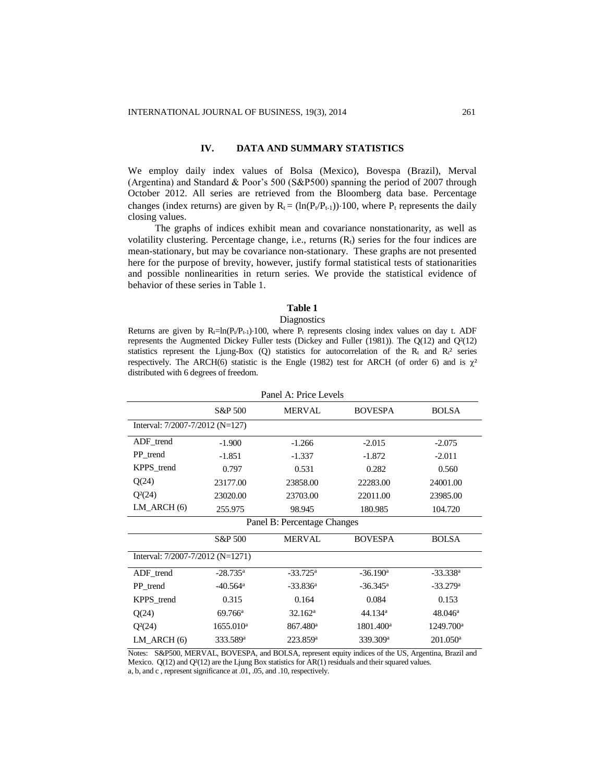# **IV. DATA AND SUMMARY STATISTICS**

We employ daily index values of Bolsa (Mexico), Bovespa (Brazil), Merval (Argentina) and Standard & Poor's 500 (S&P500) spanning the period of 2007 through October 2012. All series are retrieved from the Bloomberg data base. Percentage changes (index returns) are given by  $R_t = (\ln(P_t/P_{t-1})) \cdot 100$ , where  $P_t$  represents the daily closing values.

The graphs of indices exhibit mean and covariance nonstationarity, as well as volatility clustering. Percentage change, i.e., returns  $(R<sub>t</sub>)$  series for the four indices are mean-stationary, but may be covariance non-stationary. These graphs are not presented here for the purpose of brevity, however, justify formal statistical tests of stationarities and possible nonlinearities in return series. We provide the statistical evidence of behavior of these series in Table 1.

#### **Table 1**

#### **Diagnostics**

Returns are given by  $R_t=ln(P_t/P_{t-1})$  100, where  $P_t$  represents closing index values on day t. ADF represents the Augmented Dickey Fuller tests (Dickey and Fuller (1981)). The Q(12) and Q²(12) statistics represent the Ljung-Box (Q) statistics for autocorrelation of the R<sub>t</sub> and R<sub>t</sub><sup>2</sup> series respectively. The ARCH(6) statistic is the Engle (1982) test for ARCH (of order 6) and is  $\chi^2$ distributed with 6 degrees of freedom.

| Panel A: Price Levels            |                        |                             |                        |                        |  |  |  |  |
|----------------------------------|------------------------|-----------------------------|------------------------|------------------------|--|--|--|--|
|                                  | S&P 500                | <b>MERVAL</b>               | <b>BOVESPA</b>         | <b>BOLSA</b>           |  |  |  |  |
| Interval: 7/2007-7/2012 (N=127)  |                        |                             |                        |                        |  |  |  |  |
| ADF_trend                        | $-1.900$               | $-1.266$                    | $-2.015$               | $-2.075$               |  |  |  |  |
| PP_trend                         | $-1.851$               | $-1.337$                    | $-1.872$               | $-2.011$               |  |  |  |  |
| KPPS trend                       | 0.797                  | 0.531                       | 0.282                  | 0.560                  |  |  |  |  |
| Q(24)                            | 23177.00               | 23858.00                    | 22283.00               | 24001.00               |  |  |  |  |
| $Q^2(24)$                        | 23020.00               | 23703.00                    | 22011.00               | 23985.00               |  |  |  |  |
| $LM$ ARCH $(6)$                  | 255.975                | 98.945                      | 180.985                | 104.720                |  |  |  |  |
|                                  |                        | Panel B: Percentage Changes |                        |                        |  |  |  |  |
|                                  | S&P 500                | <b>MERVAL</b>               | <b>BOVESPA</b>         | <b>BOLSA</b>           |  |  |  |  |
| Interval: 7/2007-7/2012 (N=1271) |                        |                             |                        |                        |  |  |  |  |
| ADF_trend                        | $-28.735^{\rm a}$      | $-33.725^{\rm a}$           | $-36.190$ <sup>a</sup> | $-33.338$ <sup>a</sup> |  |  |  |  |
| PP trend                         | $-40.564$ <sup>a</sup> | $-33.836^a$                 | $-36.345$ <sup>a</sup> | $-33.279$ <sup>a</sup> |  |  |  |  |
| KPPS trend                       | 0.315                  | 0.164                       | 0.084                  | 0.153                  |  |  |  |  |
| Q(24)                            | $69.766^{\rm a}$       | $32.162^a$                  | 44.134 <sup>a</sup>    | $48.046^{\circ}$       |  |  |  |  |
| $Q^2(24)$                        | 1655.010 <sup>a</sup>  | 867.480 <sup>a</sup>        | 1801.400 <sup>a</sup>  | 1249.700 <sup>a</sup>  |  |  |  |  |
| $LM$ ARCH $(6)$                  | 333.589 <sup>a</sup>   | 223.859 <sup>a</sup>        | 339.309 <sup>a</sup>   | 201.050 <sup>a</sup>   |  |  |  |  |

Notes: S&P500, MERVAL, BOVESPA, and BOLSA, represent equity indices of the US, Argentina, Brazil and Mexico.  $Q(12)$  and  $Q^{2}(12)$  are the Ljung Box statistics for AR(1) residuals and their squared values. a, b, and c , represent significance at .01, .05, and .10, respectively.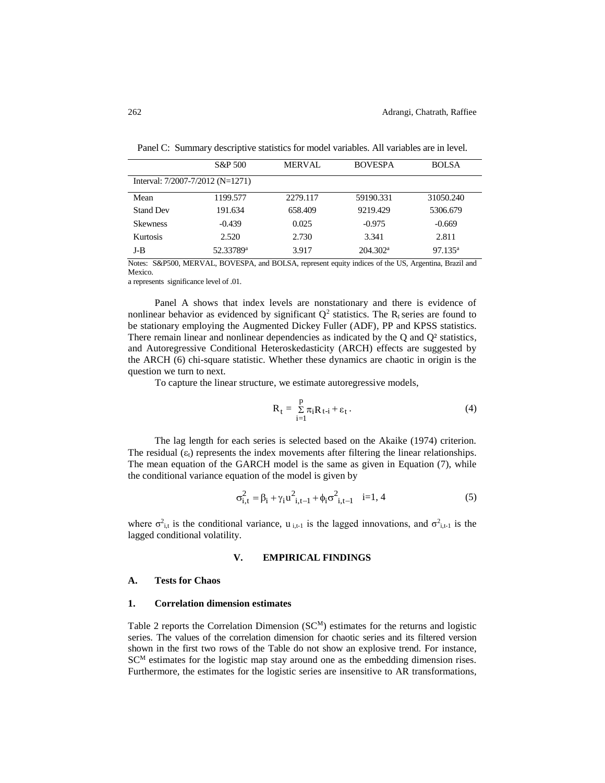|                                      | S&P 500               | <b>MERVAL</b> | <b>BOVESPA</b>       | <b>BOLSA</b>        |
|--------------------------------------|-----------------------|---------------|----------------------|---------------------|
| Interval: $7/2007 - 7/2012$ (N=1271) |                       |               |                      |                     |
| Mean                                 | 1199.577              | 2279.117      | 59190.331            | 31050.240           |
| <b>Stand Dev</b>                     | 191.634               | 658.409       | 9219.429             | 5306.679            |
| <b>Skewness</b>                      | $-0.439$              | 0.025         | $-0.975$             | $-0.669$            |
| <b>Kurtosis</b>                      | 2.520                 | 2.730         | 3.341                | 2.811               |
| J-B                                  | 52.33789 <sup>a</sup> | 3.917         | 204.302 <sup>a</sup> | 97.135 <sup>a</sup> |

Panel C: Summary descriptive statistics for model variables. All variables are in level.

Notes: S&P500, MERVAL, BOVESPA, and BOLSA, represent equity indices of the US, Argentina, Brazil and Mexico.

a represents significance level of .01.

Panel A shows that index levels are nonstationary and there is evidence of nonlinear behavior as evidenced by significant  $Q^2$  statistics. The R<sub>t</sub> series are found to be stationary employing the Augmented Dickey Fuller (ADF), PP and KPSS statistics. There remain linear and nonlinear dependencies as indicated by the  $Q$  and  $Q<sup>2</sup>$  statistics, and Autoregressive Conditional Heteroskedasticity (ARCH) effects are suggested by the ARCH (6) chi-square statistic. Whether these dynamics are chaotic in origin is the question we turn to next.

To capture the linear structure, we estimate autoregressive models,

$$
R_t = \sum_{i=1}^{p} \pi_i R_{t-i} + \varepsilon_t \,. \tag{4}
$$

The lag length for each series is selected based on the Akaike (1974) criterion. The residual  $(\varepsilon_1)$  represents the index movements after filtering the linear relationships. The mean equation of the GARCH model is the same as given in Equation (7), while the conditional variance equation of the model is given by

$$
\sigma_{i,t}^2 = \beta_i + \gamma_i u_{i,t-1}^2 + \phi_i \sigma_{i,t-1}^2 \quad i=1, 4
$$
 (5)

where  $\sigma_{i,t}^2$  is the conditional variance, u<sub>i,t-1</sub> is the lagged innovations, and  $\sigma_{i,t-1}^2$  is the lagged conditional volatility.

#### **V. EMPIRICAL FINDINGS**

#### **A. Tests for Chaos**

### **1. Correlation dimension estimates**

Table 2 reports the Correlation Dimension  $(SC<sup>M</sup>)$  estimates for the returns and logistic series. The values of the correlation dimension for chaotic series and its filtered version shown in the first two rows of the Table do not show an explosive trend. For instance,  $SC<sup>M</sup>$  estimates for the logistic map stay around one as the embedding dimension rises. Furthermore, the estimates for the logistic series are insensitive to AR transformations,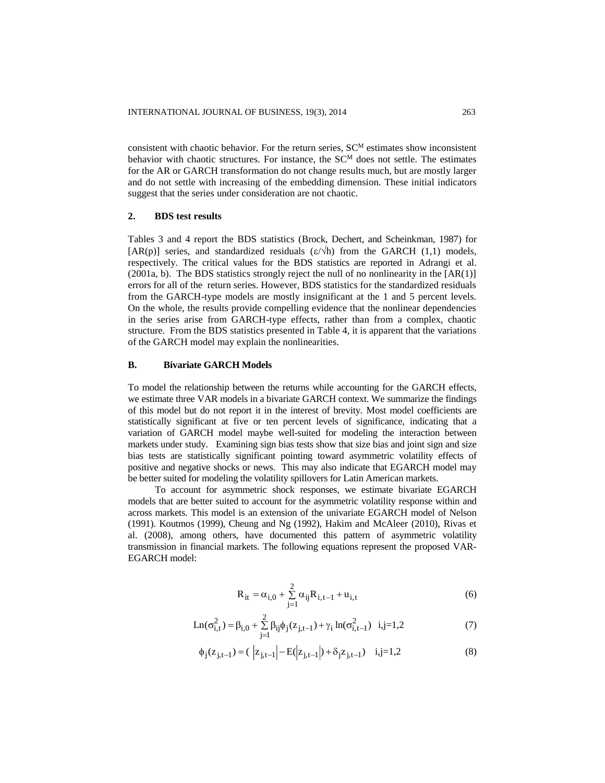consistent with chaotic behavior. For the return series,  $SC^{M}$  estimates show inconsistent behavior with chaotic structures. For instance, the  $SC<sup>M</sup>$  does not settle. The estimates for the AR or GARCH transformation do not change results much, but are mostly larger and do not settle with increasing of the embedding dimension. These initial indicators suggest that the series under consideration are not chaotic.

#### **2. BDS test results**

Tables 3 and 4 report the BDS statistics (Brock, Dechert, and Scheinkman, 1987) for [AR(p)] series, and standardized residuals  $(\epsilon/\sqrt{h})$  from the GARCH (1,1) models, respectively. The critical values for the BDS statistics are reported in Adrangi et al.  $(2001a, b)$ . The BDS statistics strongly reject the null of no nonlinearity in the [AR(1)] errors for all of the return series. However, BDS statistics for the standardized residuals from the GARCH-type models are mostly insignificant at the 1 and 5 percent levels. On the whole, the results provide compelling evidence that the nonlinear dependencies in the series arise from GARCH-type effects, rather than from a complex, chaotic structure. From the BDS statistics presented in Table 4, it is apparent that the variations of the GARCH model may explain the nonlinearities.

# **B. Bivariate GARCH Models**

To model the relationship between the returns while accounting for the GARCH effects, we estimate three VAR models in a bivariate GARCH context. We summarize the findings of this model but do not report it in the interest of brevity. Most model coefficients are statistically significant at five or ten percent levels of significance, indicating that a variation of GARCH model maybe well-suited for modeling the interaction between markets under study. Examining sign bias tests show that size bias and joint sign and size bias tests are statistically significant pointing toward asymmetric volatility effects of positive and negative shocks or news. This may also indicate that EGARCH model may be better suited for modeling the volatility spillovers for Latin American markets.

To account for asymmetric shock responses, we estimate bivariate EGARCH models that are better suited to account for the asymmetric volatility response within and across markets. This model is an extension of the univariate EGARCH model of Nelson (1991). Koutmos (1999), Cheung and Ng (1992), Hakim and McAleer (2010), Rivas et al. (2008), among others, have documented this pattern of asymmetric volatility transmission in financial markets. The following equations represent the proposed VAR-EGARCH model:

$$
R_{it} = \alpha_{i,0} + \sum_{j=1}^{2} \alpha_{ij} R_{i,t-1} + u_{i,t}
$$
 (6)

$$
Ln(\sigma_{i,t}^2) = \beta_{i,0} + \sum_{j=1}^{2} \beta_{ij} \phi_j(z_{j,t-1}) + \gamma_i ln(\sigma_{i,t-1}^2) \quad i,j=1,2
$$
 (7)

$$
\phi_j(z_{j,t-1}) = (\left| z_{j,t-1} \right| - E(|z_{j,t-1}|) + \delta_j z_{j,t-1}) \quad i,j=1,2
$$
 (8)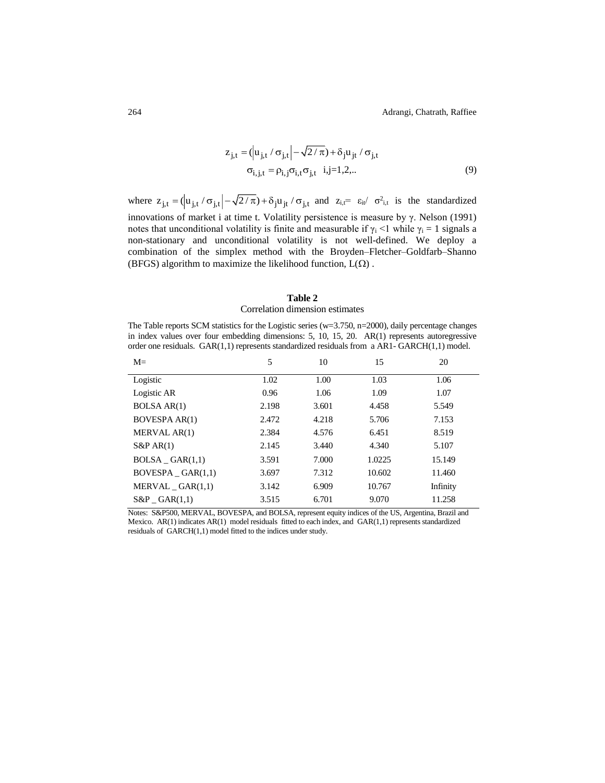$$
z_{j,t} = (\vert u_{j,t} / \sigma_{j,t} \vert - \sqrt{2/\pi}) + \delta_j u_{jt} / \sigma_{j,t}
$$
  

$$
\sigma_{i,j,t} = \rho_{i,j} \sigma_{i,t} \sigma_{j,t} \quad i,j=1,2,...
$$
 (9)

where  $z_{j,t} = (\left| u_{j,t} / \sigma_{j,t} \right| - \sqrt{2/\pi}) + \delta_j u_{jt} / \sigma_{j,t}$  and  $z_{i,t} = \varepsilon_{it}/\sigma_{i,t}^2$  is the standardized innovations of market i at time t. Volatility persistence is measure by γ. Nelson (1991) notes that unconditional volatility is finite and measurable if  $\gamma_i$  <1 while  $\gamma_i$  = 1 signals a non-stationary and unconditional volatility is not well-defined. We deploy a combination of the simplex method with the Broyden–Fletcher–Goldfarb–Shanno (BFGS) algorithm to maximize the likelihood function,  $L(\Omega)$ .

# **Table 2**

# Correlation dimension estimates

The Table reports SCM statistics for the Logistic series ( $w=3.750$ ,  $n=2000$ ), daily percentage changes in index values over four embedding dimensions: 5, 10, 15, 20. AR(1) represents autoregressive order one residuals.  $GAR(1,1)$  represents standardized residuals from a AR1-  $GARCH(1,1)$  model.

| $M=$                 | 5     | 10    | 15     | 20       |
|----------------------|-------|-------|--------|----------|
| Logistic             | 1.02  | 1.00  | 1.03   | 1.06     |
| Logistic AR          | 0.96  | 1.06  | 1.09   | 1.07     |
| <b>BOLSA AR(1)</b>   | 2.198 | 3.601 | 4.458  | 5.549    |
| <b>BOVESPA AR(1)</b> | 2.472 | 4.218 | 5.706  | 7.153    |
| MERVAL AR(1)         | 2.384 | 4.576 | 6.451  | 8.519    |
| $S\&P AR(1)$         | 2.145 | 3.440 | 4.340  | 5.107    |
| $BOLSA_GAR(1,1)$     | 3.591 | 7.000 | 1.0225 | 15.149   |
| BOVESPA $GAR(1,1)$   | 3.697 | 7.312 | 10.602 | 11.460   |
| MERVAL GAR(1,1)      | 3.142 | 6.909 | 10.767 | Infinity |
| $S\&P$ $GAR(1,1)$    | 3.515 | 6.701 | 9.070  | 11.258   |

Notes: S&P500, MERVAL, BOVESPA, and BOLSA, represent equity indices of the US, Argentina, Brazil and Mexico. AR(1) indicates AR(1) model residuals fitted to each index, and GAR(1,1) represents standardized residuals of GARCH(1,1) model fitted to the indices under study.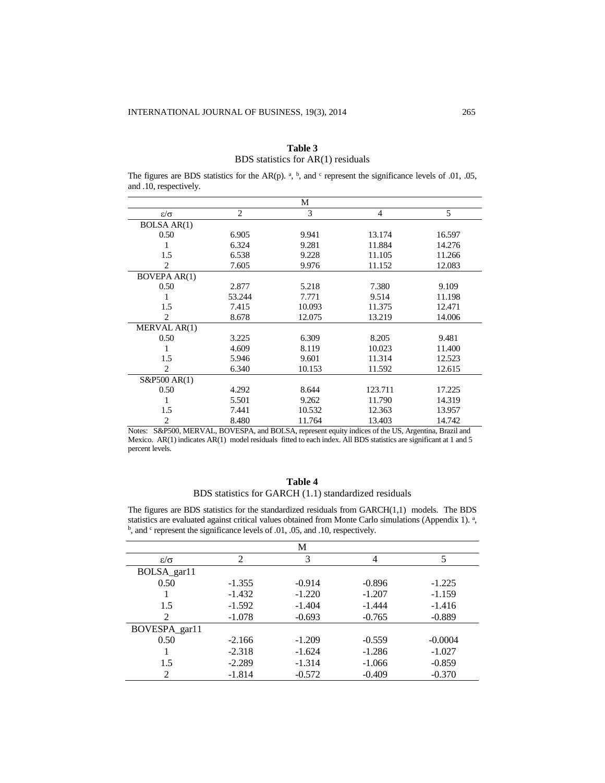|                      |        | M      |         |        |
|----------------------|--------|--------|---------|--------|
| $\varepsilon/\sigma$ | 2      | 3      | 4       | 5      |
| <b>BOLSA AR(1)</b>   |        |        |         |        |
| 0.50                 | 6.905  | 9.941  | 13.174  | 16.597 |
| 1                    | 6.324  | 9.281  | 11.884  | 14.276 |
| 1.5                  | 6.538  | 9.228  | 11.105  | 11.266 |
| 2                    | 7.605  | 9.976  | 11.152  | 12.083 |
| <b>BOVEPA AR(1)</b>  |        |        |         |        |
| 0.50                 | 2.877  | 5.218  | 7.380   | 9.109  |
| 1                    | 53.244 | 7.771  | 9.514   | 11.198 |
| 1.5                  | 7.415  | 10.093 | 11.375  | 12.471 |
| 2                    | 8.678  | 12.075 | 13.219  | 14.006 |
| MERVAL AR(1)         |        |        |         |        |
| 0.50                 | 3.225  | 6.309  | 8.205   | 9.481  |
|                      | 4.609  | 8.119  | 10.023  | 11.400 |
| 1.5                  | 5.946  | 9.601  | 11.314  | 12.523 |
| $\overline{2}$       | 6.340  | 10.153 | 11.592  | 12.615 |
| S&P500 AR(1)         |        |        |         |        |
| 0.50                 | 4.292  | 8.644  | 123.711 | 17.225 |
|                      | 5.501  | 9.262  | 11.790  | 14.319 |
| 1.5                  | 7.441  | 10.532 | 12.363  | 13.957 |
| 2                    | 8.480  | 11.764 | 13.403  | 14.742 |

| Table 3                            |  |  |  |  |  |
|------------------------------------|--|--|--|--|--|
| BDS statistics for AR(1) residuals |  |  |  |  |  |

The figures are BDS statistics for the AR(p).  $a, b$ , and  $c$  represent the significance levels of .01, .05, and .10, respectively.

Notes: S&P500, MERVAL, BOVESPA, and BOLSA, represent equity indices of the US, Argentina, Brazil and Mexico. AR(1) indicates AR(1) model residuals fitted to each index. All BDS statistics are significant at 1 and 5 percent levels.

# **Table 4** BDS statistics for GARCH (1.1) standardized residuals

The figures are BDS statistics for the standardized residuals from GARCH(1,1) models. The BDS statistics are evaluated against critical values obtained from Monte Carlo simulations (Appendix 1).<sup>a</sup>, <sup>b</sup>, and <sup>c</sup> represent the significance levels of .01, .05, and .10, respectively.

|                      |                | М        |          |           |
|----------------------|----------------|----------|----------|-----------|
| $\varepsilon/\sigma$ | $\overline{c}$ | 3        | 4        |           |
| BOLSA_gar11          |                |          |          |           |
| 0.50                 | $-1.355$       | $-0.914$ | $-0.896$ | $-1.225$  |
|                      | $-1.432$       | $-1.220$ | $-1.207$ | $-1.159$  |
| 1.5                  | $-1.592$       | $-1.404$ | $-1.444$ | $-1.416$  |
| 2                    | $-1.078$       | $-0.693$ | $-0.765$ | $-0.889$  |
| BOVESPA_gar11        |                |          |          |           |
| 0.50                 | $-2.166$       | $-1.209$ | $-0.559$ | $-0.0004$ |
|                      | $-2.318$       | $-1.624$ | $-1.286$ | $-1.027$  |
| 1.5                  | $-2.289$       | $-1.314$ | $-1.066$ | $-0.859$  |
| 2                    | $-1.814$       | $-0.572$ | $-0.409$ | $-0.370$  |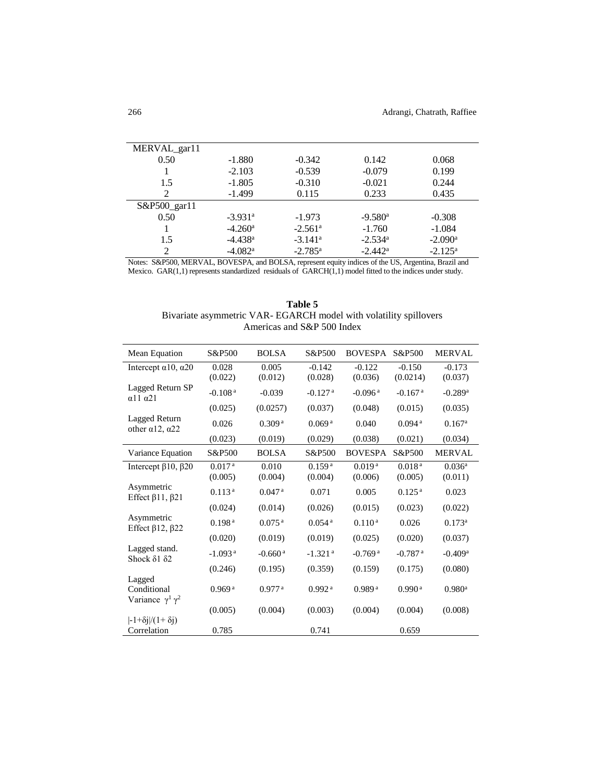| MERVAL_gar11                |                       |                       |                       |                       |
|-----------------------------|-----------------------|-----------------------|-----------------------|-----------------------|
| 0.50                        | $-1.880$              | $-0.342$              | 0.142                 | 0.068                 |
|                             | $-2.103$              | $-0.539$              | $-0.079$              | 0.199                 |
| 1.5                         | $-1.805$              | $-0.310$              | $-0.021$              | 0.244                 |
| 2                           | $-1.499$              | 0.115                 | 0.233                 | 0.435                 |
| $S\&P500$ garl1             |                       |                       |                       |                       |
| 0.50                        | $-3.931$ <sup>a</sup> | $-1.973$              | $-9.580$ <sup>a</sup> | $-0.308$              |
|                             | $-4.260$ <sup>a</sup> | $-2.561$ <sup>a</sup> | $-1.760$              | $-1.084$              |
| 1.5                         | $-4.438$ <sup>a</sup> | $-3.141$ <sup>a</sup> | $-2.534$ <sup>a</sup> | $-2.090$ <sup>a</sup> |
| $\mathcal{D}_{\mathcal{L}}$ | $-4.082$ <sup>a</sup> | $-2.785^{\rm a}$      | $-2.442^{\rm a}$      | $-2.125^{\rm a}$      |

Notes: S&P500, MERVAL, BOVESPA, and BOLSA, represent equity indices of the US, Argentina, Brazil and Mexico. GAR(1,1) represents standardized residuals of GARCH(1,1) model fitted to the indices under study.

| Table 5                                                          |
|------------------------------------------------------------------|
| Bivariate asymmetric VAR-EGARCH model with volatility spillovers |
| Americas and S&P 500 Index                                       |

| Mean Equation                                         | S&P500                | <b>BOLSA</b>          | S&P500                | <b>BOVESPA</b>        | S&P500                | <b>MERVAL</b>         |
|-------------------------------------------------------|-----------------------|-----------------------|-----------------------|-----------------------|-----------------------|-----------------------|
| Intercept $\alpha$ 10, $\alpha$ 20                    | 0.028<br>(0.022)      | 0.005<br>(0.012)      | $-0.142$<br>(0.028)   | $-0.122$<br>(0.036)   | $-0.150$<br>(0.0214)  | $-0.173$<br>(0.037)   |
| Lagged Return SP<br>$\alpha$ 11 $\alpha$ 21           | $-0.108a$             | $-0.039$              | $-0.127$ <sup>a</sup> | $-0.096$ <sup>a</sup> | $-0.167$ <sup>a</sup> | $-0.289$ <sup>a</sup> |
|                                                       | (0.025)               | (0.0257)              | (0.037)               | (0.048)               | (0.015)               | (0.035)               |
| Lagged Return<br>other $\alpha$ 12, $\alpha$ 22       | 0.026                 | 0.309 <sup>a</sup>    | 0.069 <sup>a</sup>    | 0.040                 | 0.094 <sup>a</sup>    | $0.167$ <sup>a</sup>  |
|                                                       | (0.023)               | (0.019)               | (0.029)               | (0.038)               | (0.021)               | (0.034)               |
| Variance Equation                                     | S&P500                | <b>BOLSA</b>          | S&P500                | <b>BOVESPA</b>        | S&P500                | <b>MERVAL</b>         |
| Intercept $\beta$ 10, $\beta$ 20                      | 0.017 <sup>a</sup>    | 0.010                 | 0.159 <sup>a</sup>    | 0.019 <sup>a</sup>    | 0.018 <sup>a</sup>    | 0.036 <sup>a</sup>    |
|                                                       | (0.005)               | (0.004)               | (0.004)               | (0.006)               | (0.005)               | (0.011)               |
| Asymmetric<br>Effect $\beta$ 11, $\beta$ 21           | 0.113 <sup>a</sup>    | $0.047$ <sup>a</sup>  | 0.071                 | 0.005                 | 0.125 <sup>a</sup>    | 0.023                 |
|                                                       | (0.024)               | (0.014)               | (0.026)               | (0.015)               | (0.023)               | (0.022)               |
| Asymmetric<br>Effect $\beta$ 12, $\beta$ 22           | $0.198^{\,\rm a}$     | $0.075$ <sup>a</sup>  | 0.054 <sup>a</sup>    | 0.110 <sup>a</sup>    | 0.026                 | $0.173^a$             |
|                                                       | (0.020)               | (0.019)               | (0.019)               | (0.025)               | (0.020)               | (0.037)               |
| Lagged stand.<br>Shock $\delta$ 1 $\delta$ 2          | $-1.093$ <sup>a</sup> | $-0.660$ <sup>a</sup> | $-1.321$ <sup>a</sup> | $-0.769$ <sup>a</sup> | $-0.787$ <sup>a</sup> | $-0.409$ <sup>a</sup> |
|                                                       | (0.246)               | (0.195)               | (0.359)               | (0.159)               | (0.175)               | (0.080)               |
| Lagged<br>Conditional<br>Variance $\gamma^1 \gamma^2$ | 0.969 <sup>a</sup>    | $0.977$ <sup>a</sup>  | 0.992 <sup>a</sup>    | 0.989 <sup>a</sup>    | 0.990a                | $0.980$ <sup>a</sup>  |
|                                                       | (0.005)               | (0.004)               | (0.003)               | (0.004)               | (0.004)               | (0.008)               |
| $\frac{-1 + \delta i}{(1 + \delta i)}$<br>Correlation | 0.785                 |                       | 0.741                 |                       | 0.659                 |                       |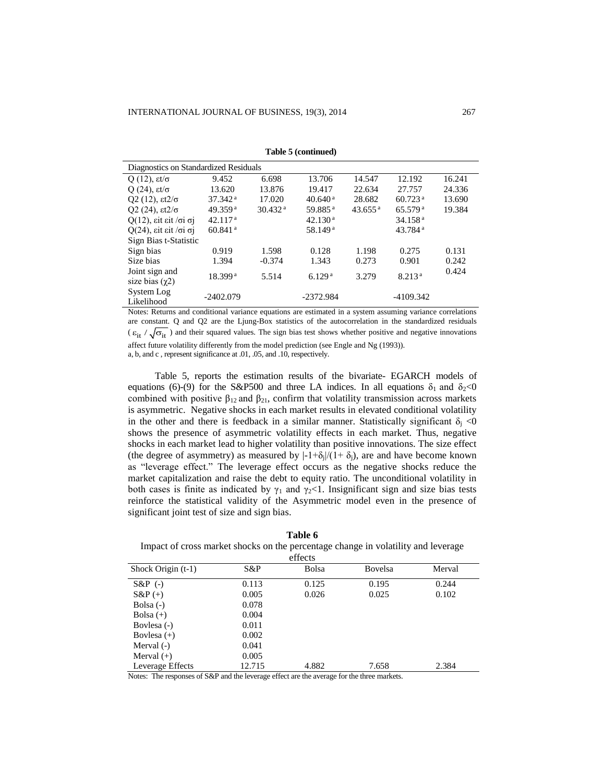|                                           | Diagnostics on Standardized Residuals |                     |                     |                       |                       |        |  |
|-------------------------------------------|---------------------------------------|---------------------|---------------------|-----------------------|-----------------------|--------|--|
| Q (12), $\epsilon t/\sigma$               | 9.452                                 | 6.698               | 13.706              | 14.547                | 12.192                | 16.241 |  |
| Q $(24)$ , $\epsilon t/\sigma$            | 13.620                                | 13.876              | 19.417              | 22.634                | 27.757                | 24.336 |  |
| Q2 (12), $\frac{\varepsilon}{2\sigma}$    | $37.342$ <sup>a</sup>                 | 17.020              | 40.640 <sup>a</sup> | 28.682                | $60.723$ <sup>a</sup> | 13.690 |  |
| Q2 (24), $\epsilon t^{2/\sigma}$          | 49.359 <sup>a</sup>                   | 30.432 <sup>a</sup> | 59.885 <sup>a</sup> | $43.655$ <sup>a</sup> | 65.579 <sup>a</sup>   | 19.384 |  |
| $Q(12)$ , εit εit /σi σj                  | 42.117 <sup>a</sup>                   |                     | 42.130 <sup>a</sup> |                       | 34.158 <sup>a</sup>   |        |  |
| $Q(24)$ , sit sit / $\sigma$ i $\sigma$ j | $60.841$ <sup>a</sup>                 |                     | 58.149 <sup>a</sup> |                       | $43.784$ <sup>a</sup> |        |  |
| Sign Bias t-Statistic                     |                                       |                     |                     |                       |                       |        |  |
| Sign bias                                 | 0.919                                 | 1.598               | 0.128               | 1.198                 | 0.275                 | 0.131  |  |
| Size bias                                 | 1.394                                 | $-0.374$            | 1.343               | 0.273                 | 0.901                 | 0.242  |  |
| Joint sign and                            | 18.399 <sup>a</sup>                   | 5.514               | 6.129 <sup>a</sup>  | 3.279                 | 8.213 <sup>a</sup>    | 0.424  |  |
| size bias $(\gamma 2)$                    |                                       |                     |                     |                       |                       |        |  |
| System Log                                | $-2402.079$                           |                     | -2372.984           |                       | -4109.342             |        |  |
| Likelihood                                |                                       |                     |                     |                       |                       |        |  |

**Table 5 (continued)**

Notes: Returns and conditional variance equations are estimated in a system assuming variance correlations are constant. Q and Q2 are the Ljung-Box statistics of the autocorrelation in the standardized residuals  $(\epsilon_{it}/\sqrt{\sigma_{it}})$  and their squared values. The sign bias test shows whether positive and negative innovations affect future volatility differently from the model prediction (see Engle and Ng (1993)).

a, b, and c , represent significance at .01, .05, and .10, respectively.

Table 5, reports the estimation results of the bivariate- EGARCH models of equations (6)-(9) for the S&P500 and three LA indices. In all equations  $\delta_1$  and  $\delta_2$ <0 combined with positive  $\beta_{12}$  and  $\beta_{21}$ , confirm that volatility transmission across markets is asymmetric. Negative shocks in each market results in elevated conditional volatility in the other and there is feedback in a similar manner. Statistically significant  $\delta_i$  <0 shows the presence of asymmetric volatility effects in each market. Thus, negative shocks in each market lead to higher volatility than positive innovations. The size effect (the degree of asymmetry) as measured by  $|-1+\delta_i|/(1+\delta_i)$ , are and have become known as "leverage effect." The leverage effect occurs as the negative shocks reduce the market capitalization and raise the debt to equity ratio. The unconditional volatility in both cases is finite as indicated by  $\gamma_1$  and  $\gamma_2$ <1. Insignificant sign and size bias tests reinforce the statistical validity of the Asymmetric model even in the presence of significant joint test of size and sign bias.

| Table 6                                                                           |
|-----------------------------------------------------------------------------------|
| Impact of cross market shocks on the percentage change in volatility and leverage |
|                                                                                   |

| effects              |        |       |         |        |  |  |  |
|----------------------|--------|-------|---------|--------|--|--|--|
| Shock Origin $(t-1)$ | S&P    | Bolsa | Bovelsa | Merval |  |  |  |
| $S\&P(-)$            | 0.113  | 0.125 | 0.195   | 0.244  |  |  |  |
| $S\&P(+)$            | 0.005  | 0.026 | 0.025   | 0.102  |  |  |  |
| Bolsa $(-)$          | 0.078  |       |         |        |  |  |  |
| Bolsa $(+)$          | 0.004  |       |         |        |  |  |  |
| Boylesa (-)          | 0.011  |       |         |        |  |  |  |
| Bovlesa $(+)$        | 0.002  |       |         |        |  |  |  |
| Merval $(-)$         | 0.041  |       |         |        |  |  |  |
| Merval $(+)$         | 0.005  |       |         |        |  |  |  |
| Leverage Effects     | 12.715 | 4.882 | 7.658   | 2.384  |  |  |  |

Notes: The responses of S&P and the leverage effect are the average for the three markets.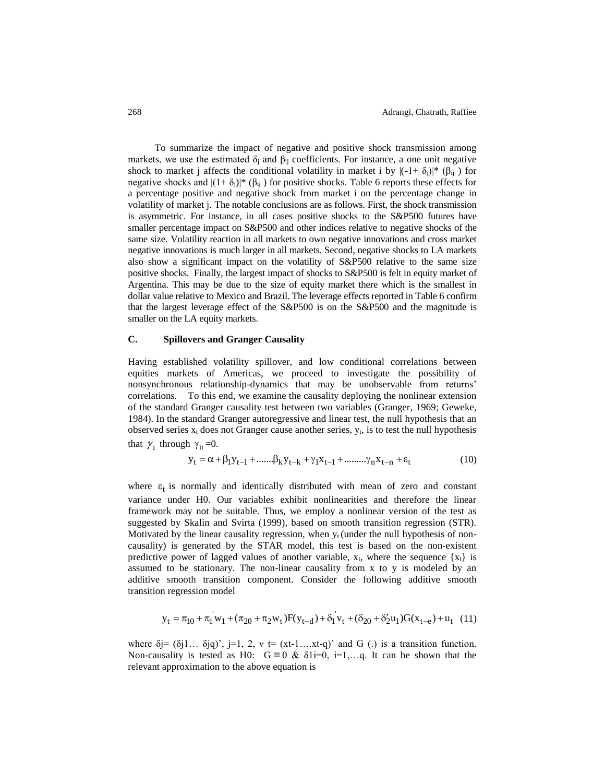To summarize the impact of negative and positive shock transmission among markets, we use the estimated  $\delta_i$  and  $\beta_{ii}$  coefficients. For instance, a one unit negative shock to market j affects the conditional volatility in market i by  $|(-1+\delta_i)|^*$  ( $\beta_{ii}$ ) for negative shocks and  $|(1+\delta_i)|^*$  ( $\beta_{ii}$ ) for positive shocks. Table 6 reports these effects for a percentage positive and negative shock from market i on the percentage change in volatility of market j. The notable conclusions are as follows. First, the shock transmission is asymmetric. For instance, in all cases positive shocks to the S&P500 futures have smaller percentage impact on S&P500 and other indices relative to negative shocks of the same size. Volatility reaction in all markets to own negative innovations and cross market negative innovations is much larger in all markets. Second, negative shocks to LA markets also show a significant impact on the volatility of S&P500 relative to the same size positive shocks. Finally, the largest impact of shocks to S&P500 is felt in equity market of Argentina. This may be due to the size of equity market there which is the smallest in dollar value relative to Mexico and Brazil. The leverage effects reported in Table 6 confirm that the largest leverage effect of the S&P500 is on the S&P500 and the magnitude is smaller on the LA equity markets.

#### **C. Spillovers and Granger Causality**

Having established volatility spillover, and low conditional correlations between equities markets of Americas, we proceed to investigate the possibility of nonsynchronous relationship-dynamics that may be unobservable from returns' correlations. To this end, we examine the causality deploying the nonlinear extension of the standard Granger causality test between two variables (Granger, 1969; Geweke, 1984). In the standard Granger autoregressive and linear test, the null hypothesis that an observed series  $x_t$  does not Granger cause another series,  $y_t$ , is to test the null hypothesis that  $\gamma_1$  through  $\gamma_n = 0$ .  $y_t = \alpha + \beta_1 y_{t-1} + \dots \beta_k y_{t-k} + \gamma_1 x_{t-1} + \dots \gamma_n x_{t-n} + \varepsilon_t$ 

$$
y_{t} = \alpha + \beta_{1} y_{t-1} + \dots \beta_{k} y_{t-k} + \gamma_{1} x_{t-1} + \dots \dots \gamma_{n} x_{t-n} + \varepsilon_{t}
$$
(10)

where  $\varepsilon_t$  is normally and identically distributed with mean of zero and constant variance under H0. Our variables exhibit nonlinearities and therefore the linear framework may not be suitable. Thus, we employ a nonlinear version of the test as suggested by Skalin and Svirta (1999), based on smooth transition regression (STR). Motivated by the linear causality regression, when  $y_t$  (under the null hypothesis of noncausality) is generated by the STAR model, this test is based on the non-existent predictive power of lagged values of another variable,  $x_t$ , where the sequence  $\{x_t\}$  is assumed to be stationary. The non-linear causality from x to y is modeled by an additive smooth transition component. Consider the following additive smooth transition regression model

$$
y_t = \pi_{10} + \pi_1 w_1 + (\pi_{20} + \pi_2 w_t) F(y_{t-d}) + \delta_1 v_t + (\delta_{20} + \delta_2' u_1) G(x_{t-e}) + u_t
$$
 (11)

where  $\delta$ j= ( $\delta$ j1...  $\delta$ jq)', j=1, 2, v t= (xt-1...xt-q)' and G (.) is a transition function. Non-causality is tested as H0:  $G \equiv 0$  &  $\delta 1i=0$ ,  $i=1,...,q$ . It can be shown that the relevant approximation to the above equation is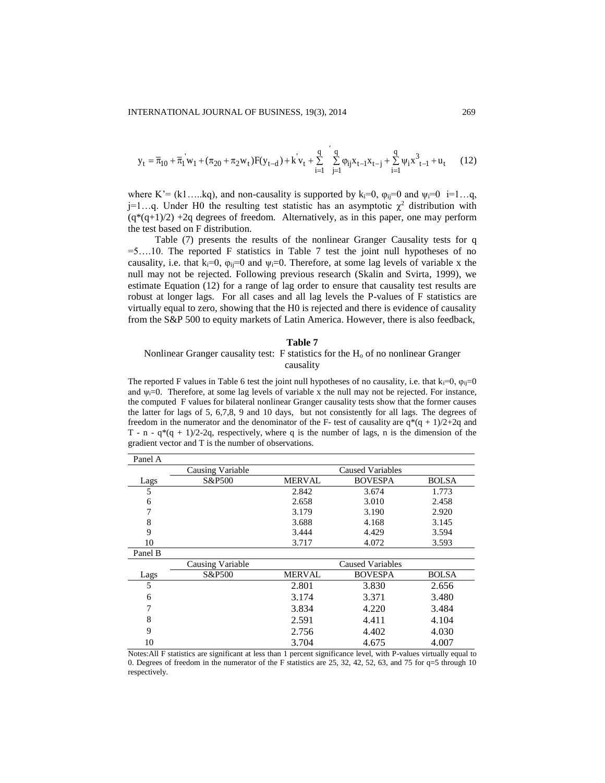$$
y_{t} = \overline{\pi}_{10} + \overline{\pi}_{1} \dot{w}_{1} + (\pi_{20} + \pi_{2} w_{t}) F(y_{t-d}) + k \dot{v}_{t} + \sum_{i=1}^{q} \sum_{j=1}^{q} \varphi_{ij} x_{t-1} x_{t-j} + \sum_{i=1}^{q} \psi_{i} x_{t-1}^{3} + u_{t}
$$
(12)

where K'= (k1....kq), and non-causality is supported by k<sub>i</sub>=0,  $\varphi_{ij}$ =0 and  $\psi_i$ =0 i=1...q, j=1...q. Under H0 the resulting test statistic has an asymptotic  $\chi^2$  distribution with  $(q*(q+1)/2)$  +2q degrees of freedom. Alternatively, as in this paper, one may perform the test based on F distribution.

Table (7) presents the results of the nonlinear Granger Causality tests for q  $=5$ ....10. The reported F statistics in Table 7 test the joint null hypotheses of no causality, i.e. that  $k_i=0$ ,  $\varphi_{ii}=0$  and  $\psi_i=0$ . Therefore, at some lag levels of variable x the null may not be rejected. Following previous research (Skalin and Svirta, 1999), we estimate Equation (12) for a range of lag order to ensure that causality test results are robust at longer lags. For all cases and all lag levels the P-values of F statistics are virtually equal to zero, showing that the H0 is rejected and there is evidence of causality from the S&P 500 to equity markets of Latin America. However, there is also feedback,

#### **Table 7**

## Nonlinear Granger causality test: F statistics for the  $H_0$  of no nonlinear Granger causality

The reported F values in Table 6 test the joint null hypotheses of no causality, i.e. that  $k_i=0$ ,  $\varphi_{ij}=0$ and  $\psi_i=0$ . Therefore, at some lag levels of variable x the null may not be rejected. For instance, the computed F values for bilateral nonlinear Granger causality tests show that the former causes the latter for lags of 5, 6,7,8, 9 and 10 days, but not consistently for all lags. The degrees of freedom in the numerator and the denominator of the F- test of causality are  $q^*(q + 1)/2+2q$  and T - n -  $q*(q + 1)/2-2q$ , respectively, where q is the number of lags, n is the dimension of the gradient vector and T is the number of observations.

| Panel A |                         |                  |                |              |
|---------|-------------------------|------------------|----------------|--------------|
|         | <b>Causing Variable</b> | Caused Variables |                |              |
| Lags    | S&P500                  | <b>MERVAL</b>    | <b>BOVESPA</b> | <b>BOLSA</b> |
| 5       |                         | 2.842            | 3.674          | 1.773        |
| 6       |                         | 2.658            | 3.010          | 2.458        |
| 7       |                         | 3.179            | 3.190          | 2.920        |
| 8       |                         | 3.688            | 4.168          | 3.145        |
| 9       |                         | 3.444            | 4.429          | 3.594        |
| 10      |                         | 3.717            | 4.072          | 3.593        |
| Panel B |                         |                  |                |              |
|         | Causing Variable        | Caused Variables |                |              |
| Lags    | S&P500                  | <b>MERVAL</b>    | <b>BOVESPA</b> | <b>BOLSA</b> |
| 5       |                         | 2.801            | 3.830          | 2.656        |
| 6       |                         | 3.174            | 3.371          | 3.480        |
| 7       |                         | 3.834            | 4.220          | 3.484        |
| 8       |                         | 2.591            | 4.411          | 4.104        |
| 9       |                         | 2.756            | 4.402          | 4.030        |
| 10      |                         | 3.704            | 4.675          | 4.007        |

Notes:All F statistics are significant at less than 1 percent significance level, with P-values virtually equal to 0. Degrees of freedom in the numerator of the F statistics are 25, 32, 42, 52, 63, and 75 for q=5 through 10 respectively.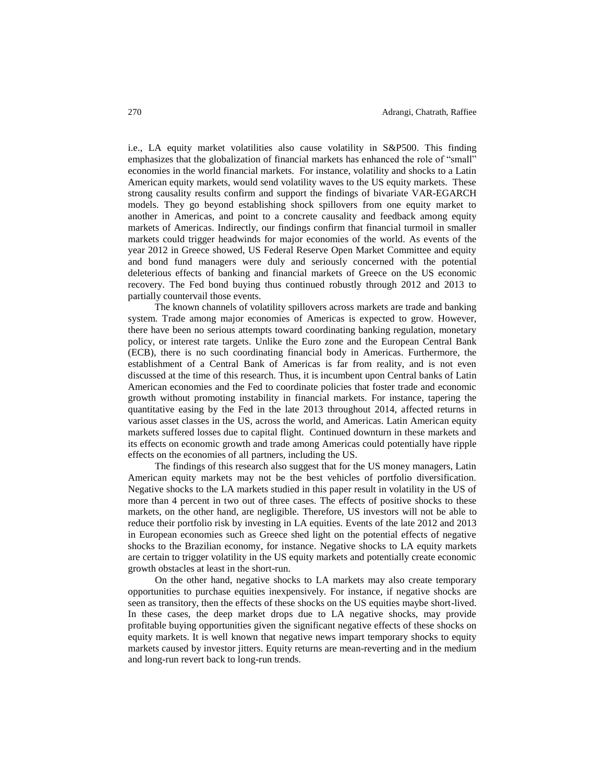i.e., LA equity market volatilities also cause volatility in S&P500. This finding emphasizes that the globalization of financial markets has enhanced the role of "small" economies in the world financial markets. For instance, volatility and shocks to a Latin American equity markets, would send volatility waves to the US equity markets. These strong causality results confirm and support the findings of bivariate VAR-EGARCH models. They go beyond establishing shock spillovers from one equity market to another in Americas, and point to a concrete causality and feedback among equity markets of Americas. Indirectly, our findings confirm that financial turmoil in smaller markets could trigger headwinds for major economies of the world. As events of the year 2012 in Greece showed, US Federal Reserve Open Market Committee and equity and bond fund managers were duly and seriously concerned with the potential deleterious effects of banking and financial markets of Greece on the US economic recovery. The Fed bond buying thus continued robustly through 2012 and 2013 to partially countervail those events.

The known channels of volatility spillovers across markets are trade and banking system. Trade among major economies of Americas is expected to grow. However, there have been no serious attempts toward coordinating banking regulation, monetary policy, or interest rate targets. Unlike the Euro zone and the European Central Bank (ECB), there is no such coordinating financial body in Americas. Furthermore, the establishment of a Central Bank of Americas is far from reality, and is not even discussed at the time of this research. Thus, it is incumbent upon Central banks of Latin American economies and the Fed to coordinate policies that foster trade and economic growth without promoting instability in financial markets. For instance, tapering the quantitative easing by the Fed in the late 2013 throughout 2014, affected returns in various asset classes in the US, across the world, and Americas. Latin American equity markets suffered losses due to capital flight. Continued downturn in these markets and its effects on economic growth and trade among Americas could potentially have ripple effects on the economies of all partners, including the US.

The findings of this research also suggest that for the US money managers, Latin American equity markets may not be the best vehicles of portfolio diversification. Negative shocks to the LA markets studied in this paper result in volatility in the US of more than 4 percent in two out of three cases. The effects of positive shocks to these markets, on the other hand, are negligible. Therefore, US investors will not be able to reduce their portfolio risk by investing in LA equities. Events of the late 2012 and 2013 in European economies such as Greece shed light on the potential effects of negative shocks to the Brazilian economy, for instance. Negative shocks to LA equity markets are certain to trigger volatility in the US equity markets and potentially create economic growth obstacles at least in the short-run.

On the other hand, negative shocks to LA markets may also create temporary opportunities to purchase equities inexpensively. For instance, if negative shocks are seen as transitory, then the effects of these shocks on the US equities maybe short-lived. In these cases, the deep market drops due to LA negative shocks, may provide profitable buying opportunities given the significant negative effects of these shocks on equity markets. It is well known that negative news impart temporary shocks to equity markets caused by investor jitters. Equity returns are mean-reverting and in the medium and long-run revert back to long-run trends.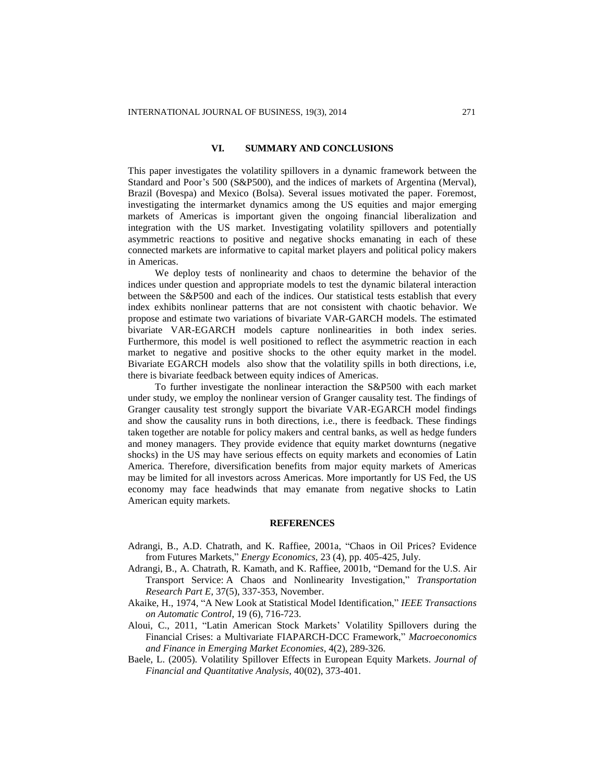# **VI. SUMMARY AND CONCLUSIONS**

This paper investigates the volatility spillovers in a dynamic framework between the Standard and Poor's 500 (S&P500), and the indices of markets of Argentina (Merval), Brazil (Bovespa) and Mexico (Bolsa). Several issues motivated the paper. Foremost, investigating the intermarket dynamics among the US equities and major emerging markets of Americas is important given the ongoing financial liberalization and integration with the US market. Investigating volatility spillovers and potentially asymmetric reactions to positive and negative shocks emanating in each of these connected markets are informative to capital market players and political policy makers in Americas.

We deploy tests of nonlinearity and chaos to determine the behavior of the indices under question and appropriate models to test the dynamic bilateral interaction between the S&P500 and each of the indices. Our statistical tests establish that every index exhibits nonlinear patterns that are not consistent with chaotic behavior. We propose and estimate two variations of bivariate VAR-GARCH models. The estimated bivariate VAR-EGARCH models capture nonlinearities in both index series. Furthermore, this model is well positioned to reflect the asymmetric reaction in each market to negative and positive shocks to the other equity market in the model. Bivariate EGARCH models also show that the volatility spills in both directions, i.e, there is bivariate feedback between equity indices of Americas.

To further investigate the nonlinear interaction the S&P500 with each market under study, we employ the nonlinear version of Granger causality test. The findings of Granger causality test strongly support the bivariate VAR-EGARCH model findings and show the causality runs in both directions, i.e., there is feedback. These findings taken together are notable for policy makers and central banks, as well as hedge funders and money managers. They provide evidence that equity market downturns (negative shocks) in the US may have serious effects on equity markets and economies of Latin America. Therefore, diversification benefits from major equity markets of Americas may be limited for all investors across Americas. More importantly for US Fed, the US economy may face headwinds that may emanate from negative shocks to Latin American equity markets.

#### **REFERENCES**

- Adrangi, B., A.D. Chatrath, and K. Raffiee, 2001a, "Chaos in Oil Prices? Evidence from Futures Markets," *Energy Economics,* 23 (4), pp. 405-425, July.
- Adrangi, B., A. Chatrath, R. Kamath, and K. Raffiee, 2001b, "Demand for the U.S. Air Transport Service: A Chaos and Nonlinearity Investigation," *Transportation Research Part E*, 37(5), 337-353, November.
- Akaike, H., 1974, "A New Look at Statistical Model Identification," *IEEE Transactions on Automatic Control*, 19 (6), 716-723.
- Aloui, C., 2011, "Latin American Stock Markets' Volatility Spillovers during the Financial Crises: a Multivariate FIAPARCH-DCC Framework," *Macroeconomics and Finance in Emerging Market Economies*, 4(2), 289-326.
- Baele, L. (2005). Volatility Spillover Effects in European Equity Markets. *Journal of Financial and Quantitative Analysis*, 40(02), 373-401.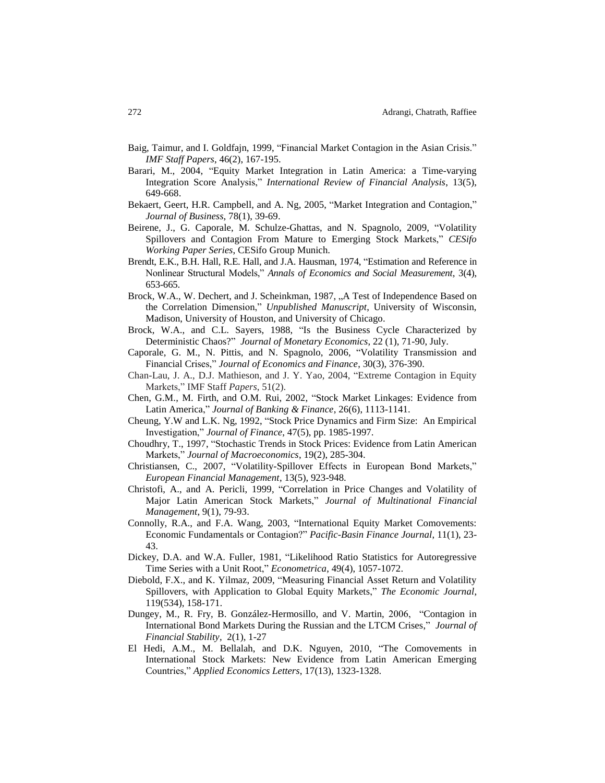- Baig, Taimur, and I. Goldfajn, 1999, "Financial Market Contagion in the Asian Crisis." *IMF Staff Papers*, 46(2), 167-195.
- Barari, M., 2004, "Equity Market Integration in Latin America: a Time-varying Integration Score Analysis," *International Review of Financial Analysis*, 13(5), 649-668.
- Bekaert, Geert, H.R. Campbell, and A. Ng, 2005, "Market Integration and Contagion," *Journal of Business*, 78(1), 39-69.
- Beirene, J., G. Caporale, M. Schulze-Ghattas, and N. Spagnolo, 2009, "Volatility Spillovers and Contagion From Mature to Emerging Stock Markets," *CESifo Working Paper Series*, CESifo Group Munich.
- Brendt, E.K., B.H. Hall, R.E. Hall, and J.A. Hausman, 1974, "Estimation and Reference in Nonlinear Structural Models," *Annals of Economics and Social Measurement*, 3(4), 653-665.
- Brock, W.A., W. Dechert, and J. Scheinkman, 1987, "A Test of Independence Based on the Correlation Dimension," *Unpublished Manuscript*, University of Wisconsin, Madison, University of Houston, and University of Chicago.
- Brock, W.A., and C.L. Sayers, 1988, "Is the Business Cycle Characterized by Deterministic Chaos?" *Journal of Monetary Economics*, 22 (1), 71-90, July.
- Caporale, G. M., N. Pittis, and N. Spagnolo, 2006, "Volatility Transmission and Financial Crises," *Journal of Economics and Finance*, 30(3), 376-390.
- Chan-Lau, J. A., D.J. Mathieson, and J. Y. Yao, 2004, "Extreme Contagion in Equity Markets," IMF Staff *Papers*, 51(2).
- Chen, G.M., M. Firth, and O.M. Rui, 2002, "Stock Market Linkages: Evidence from Latin America," *Journal of Banking & Finance*, 26(6), 1113-1141.
- Cheung, Y.W and L.K. Ng, 1992, "Stock Price Dynamics and Firm Size: An Empirical Investigation," *Journal of Finance*, 47(5), pp. 1985-1997.
- Choudhry, T., 1997, "Stochastic Trends in Stock Prices: Evidence from Latin American Markets," *Journal of Macroeconomics*, 19(2), 285-304.
- Christiansen, C., 2007, "Volatility-Spillover Effects in European Bond Markets," *European Financial Management*, 13(5), 923-948.
- Christofi, A., and A. Pericli, 1999, "Correlation in Price Changes and Volatility of Major Latin American Stock Markets," *Journal of Multinational Financial Management*, 9(1), 79-93.
- Connolly, R.A., and F.A. Wang, 2003, "International Equity Market Comovements: Economic Fundamentals or Contagion?" *Pacific-Basin Finance Journal*, 11(1), 23- 43.
- Dickey, D.A. and W.A. Fuller, 1981, "Likelihood Ratio Statistics for Autoregressive Time Series with a Unit Root," *Econometrica*, 49(4), 1057-1072.
- Diebold, F.X., and K. Yilmaz, 2009, "Measuring Financial Asset Return and Volatility Spillovers, with Application to Global Equity Markets," *The Economic Journal*, 119(534), 158-171.
- Dungey, M., R. Fry, B. González-Hermosillo, and V. Martin, 2006, "Contagion in International Bond Markets During the Russian and the LTCM Crises," *[Journal of](http://www.sciencedirect.com/science/journal/15723089)  [Financial Stability](http://www.sciencedirect.com/science/journal/15723089)*, [2\(1\)](http://www.sciencedirect.com/science?_ob=PublicationURL&_tockey=%23TOC%2318001%232006%23999979998%23621980%23FLA%23&_cdi=18001&_pubType=J&view=c&_auth=y&_acct=C000228598&_version=1&_urlVersion=0&_userid=10&md5=5973d8d0aeb23c4eb507ce4c9aecd248), 1-27
- El Hedi, A.M., M. Bellalah, and D.K. Nguyen, 2010, "The Comovements in International Stock Markets: New Evidence from Latin American Emerging Countries," *Applied Economics Letters*, 17(13), 1323-1328.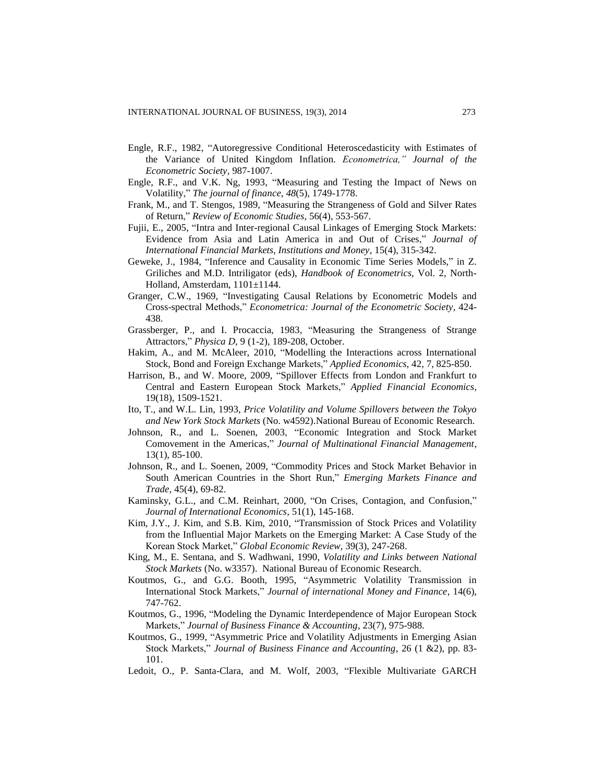- Engle, R.F., 1982, "Autoregressive Conditional Heteroscedasticity with Estimates of the Variance of United Kingdom Inflation. *Econometrica," Journal of the Econometric Society*, 987-1007.
- Engle, R.F., and V.K. Ng, 1993, "Measuring and Testing the Impact of News on Volatility," *The journal of finance*, *48*(5), 1749-1778.
- Frank, M., and T. Stengos, 1989, "Measuring the Strangeness of Gold and Silver Rates of Return," *Review of Economic Studies*, 56(4), 553-567.
- Fujii, E., 2005, "Intra and Inter-regional Causal Linkages of Emerging Stock Markets: Evidence from Asia and Latin America in and Out of Crises," *Journal of International Financial Markets, Institutions and Money*, 15(4), 315-342.
- Geweke, J., 1984, "Inference and Causality in Economic Time Series Models," in Z. Griliches and M.D. Intriligator (eds), *Handbook of Econometrics*, Vol. 2, North-Holland, Amsterdam, 1101±1144.
- Granger, C.W., 1969, "Investigating Causal Relations by Econometric Models and Cross-spectral Methods," *Econometrica: Journal of the Econometric Society*, 424- 438.
- Grassberger, P., and I. Procaccia, 1983, "Measuring the Strangeness of Strange Attractors," *Physica D*, 9 (1-2), 189-208, October.
- Hakim, A., and M. McAleer, 2010, "Modelling the Interactions across International Stock, Bond and Foreign Exchange Markets," *Applied Economics,* 42*,* 7, 825-850.
- Harrison, B., and W. Moore, 2009, "Spillover Effects from London and Frankfurt to Central and Eastern European Stock Markets," *Applied Financial Economics*, 19(18), 1509-1521.
- Ito, T., and W.L. Lin, 1993, *Price Volatility and Volume Spillovers between the Tokyo and New York Stock Markets* (No. w4592).National Bureau of Economic Research.
- Johnson, R., and L. Soenen, 2003, "Economic Integration and Stock Market Comovement in the Americas," *Journal of Multinational Financial Management*, 13(1), 85-100.
- Johnson, R., and L. Soenen, 2009, "Commodity Prices and Stock Market Behavior in South American Countries in the Short Run," *Emerging Markets Finance and Trade*, 45(4), 69-82.
- Kaminsky, G.L., and C.M. Reinhart, 2000, "On Crises, Contagion, and Confusion," *Journal of International Economics*, 51(1), 145-168.
- Kim, J.Y., J. Kim, and S.B. Kim, 2010, "Transmission of Stock Prices and Volatility from the Influential Major Markets on the Emerging Market: A Case Study of the Korean Stock Market," *Global Economic Review*, 39(3), 247-268.
- King, M., E. Sentana, and S. Wadhwani, 1990, *Volatility and Links between National Stock Markets* (No. w3357). National Bureau of Economic Research.
- Koutmos, G., and G.G. Booth, 1995, "Asymmetric Volatility Transmission in International Stock Markets," *Journal of international Money and Finance*, 14(6), 747-762.
- Koutmos, G., 1996, "Modeling the Dynamic Interdependence of Major European Stock Markets," *Journal of Business Finance & Accounting*, 23(7), 975-988.
- Koutmos, G., 1999, "Asymmetric Price and Volatility Adjustments in Emerging Asian Stock Markets," *Journal of Business Finance and Accounting*, 26 (1 &2), pp. 83- 101.
- Ledoit, O., P. Santa-Clara, and M. Wolf, 2003, "Flexible Multivariate GARCH